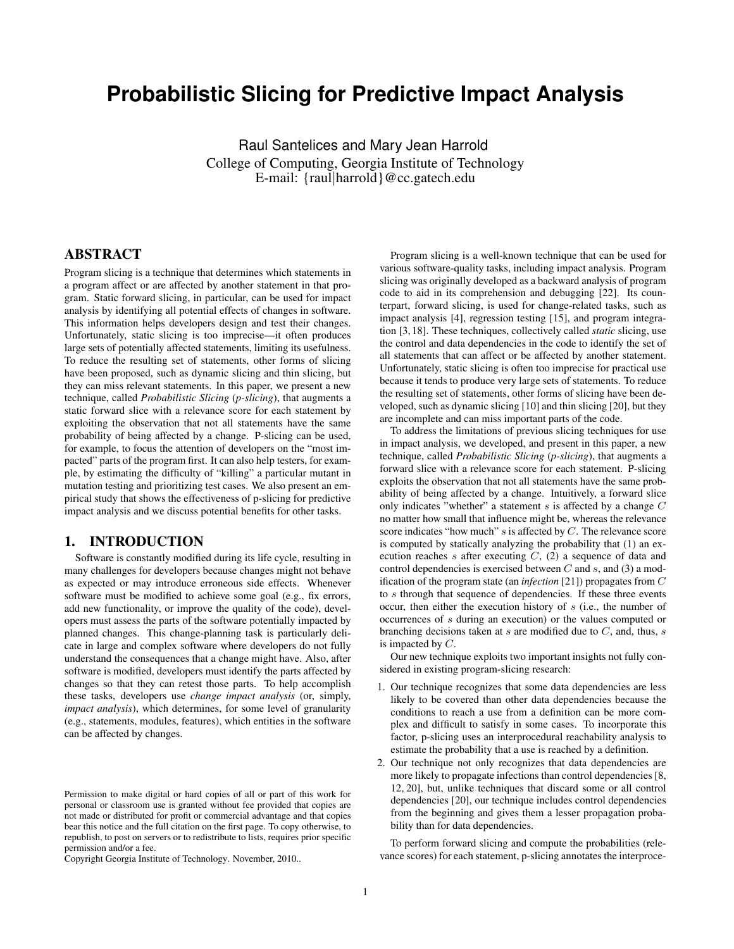# **Probabilistic Slicing for Predictive Impact Analysis**

Raul Santelices and Mary Jean Harrold College of Computing, Georgia Institute of Technology E-mail: {raul|harrold}@cc.gatech.edu

## ABSTRACT

Program slicing is a technique that determines which statements in a program affect or are affected by another statement in that program. Static forward slicing, in particular, can be used for impact analysis by identifying all potential effects of changes in software. This information helps developers design and test their changes. Unfortunately, static slicing is too imprecise—it often produces large sets of potentially affected statements, limiting its usefulness. To reduce the resulting set of statements, other forms of slicing have been proposed, such as dynamic slicing and thin slicing, but they can miss relevant statements. In this paper, we present a new technique, called *Probabilistic Slicing* (*p-slicing*), that augments a static forward slice with a relevance score for each statement by exploiting the observation that not all statements have the same probability of being affected by a change. P-slicing can be used, for example, to focus the attention of developers on the "most impacted" parts of the program first. It can also help testers, for example, by estimating the difficulty of "killing" a particular mutant in mutation testing and prioritizing test cases. We also present an empirical study that shows the effectiveness of p-slicing for predictive impact analysis and we discuss potential benefits for other tasks.

## 1. INTRODUCTION

Software is constantly modified during its life cycle, resulting in many challenges for developers because changes might not behave as expected or may introduce erroneous side effects. Whenever software must be modified to achieve some goal (e.g., fix errors, add new functionality, or improve the quality of the code), developers must assess the parts of the software potentially impacted by planned changes. This change-planning task is particularly delicate in large and complex software where developers do not fully understand the consequences that a change might have. Also, after software is modified, developers must identify the parts affected by changes so that they can retest those parts. To help accomplish these tasks, developers use *change impact analysis* (or, simply, *impact analysis*), which determines, for some level of granularity (e.g., statements, modules, features), which entities in the software can be affected by changes.

Copyright Georgia Institute of Technology. November, 2010..

Program slicing is a well-known technique that can be used for various software-quality tasks, including impact analysis. Program slicing was originally developed as a backward analysis of program code to aid in its comprehension and debugging [22]. Its counterpart, forward slicing, is used for change-related tasks, such as impact analysis [4], regression testing [15], and program integration [3, 18]. These techniques, collectively called *static* slicing, use the control and data dependencies in the code to identify the set of all statements that can affect or be affected by another statement. Unfortunately, static slicing is often too imprecise for practical use because it tends to produce very large sets of statements. To reduce the resulting set of statements, other forms of slicing have been developed, such as dynamic slicing [10] and thin slicing [20], but they are incomplete and can miss important parts of the code.

To address the limitations of previous slicing techniques for use in impact analysis, we developed, and present in this paper, a new technique, called *Probabilistic Slicing* (*p-slicing*), that augments a forward slice with a relevance score for each statement. P-slicing exploits the observation that not all statements have the same probability of being affected by a change. Intuitively, a forward slice only indicates "whether" a statement  $s$  is affected by a change  $C$ no matter how small that influence might be, whereas the relevance score indicates "how much" s is affected by C. The relevance score is computed by statically analyzing the probability that (1) an execution reaches s after executing  $C$ , (2) a sequence of data and control dependencies is exercised between  $C$  and  $s$ , and  $(3)$  a modification of the program state (an *infection* [21]) propagates from C to s through that sequence of dependencies. If these three events occur, then either the execution history of s (i.e., the number of occurrences of s during an execution) or the values computed or branching decisions taken at  $s$  are modified due to  $C$ , and, thus,  $s$ is impacted by  $C$ .

Our new technique exploits two important insights not fully considered in existing program-slicing research:

- 1. Our technique recognizes that some data dependencies are less likely to be covered than other data dependencies because the conditions to reach a use from a definition can be more complex and difficult to satisfy in some cases. To incorporate this factor, p-slicing uses an interprocedural reachability analysis to estimate the probability that a use is reached by a definition.
- 2. Our technique not only recognizes that data dependencies are more likely to propagate infections than control dependencies [8, 12, 20], but, unlike techniques that discard some or all control dependencies [20], our technique includes control dependencies from the beginning and gives them a lesser propagation probability than for data dependencies.

To perform forward slicing and compute the probabilities (relevance scores) for each statement, p-slicing annotates the interproce-

Permission to make digital or hard copies of all or part of this work for personal or classroom use is granted without fee provided that copies are not made or distributed for profit or commercial advantage and that copies bear this notice and the full citation on the first page. To copy otherwise, to republish, to post on servers or to redistribute to lists, requires prior specific permission and/or a fee.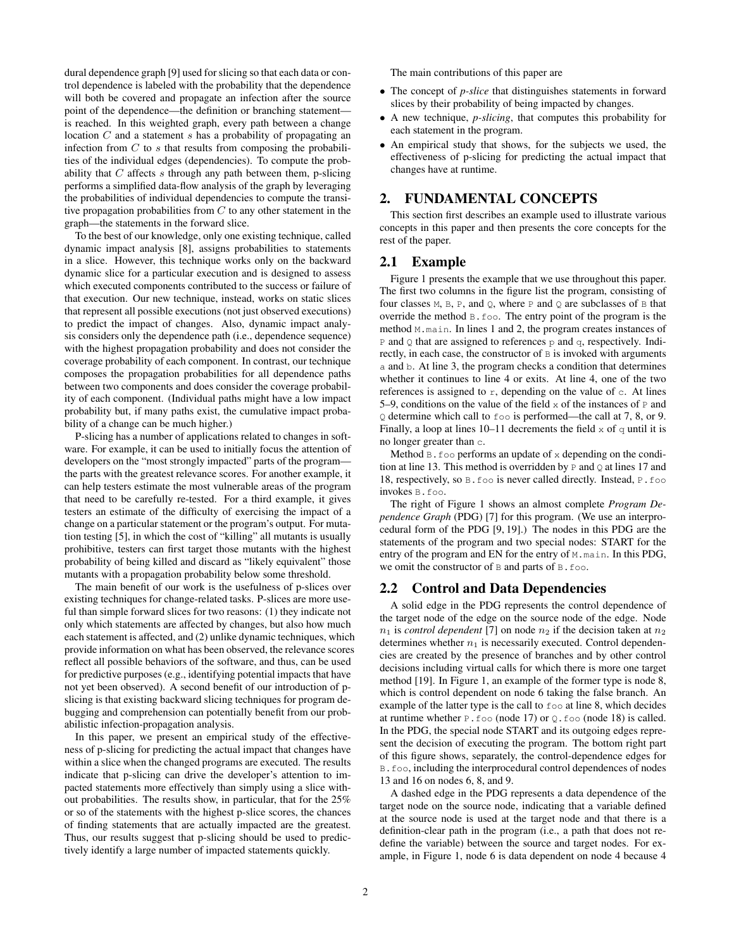dural dependence graph [9] used for slicing so that each data or control dependence is labeled with the probability that the dependence will both be covered and propagate an infection after the source point of the dependence—the definition or branching statement is reached. In this weighted graph, every path between a change location  $C$  and a statement  $s$  has a probability of propagating an infection from  $C$  to  $s$  that results from composing the probabilities of the individual edges (dependencies). To compute the probability that  $C$  affects  $s$  through any path between them, p-slicing performs a simplified data-flow analysis of the graph by leveraging the probabilities of individual dependencies to compute the transitive propagation probabilities from  $C$  to any other statement in the graph—the statements in the forward slice.

To the best of our knowledge, only one existing technique, called dynamic impact analysis [8], assigns probabilities to statements in a slice. However, this technique works only on the backward dynamic slice for a particular execution and is designed to assess which executed components contributed to the success or failure of that execution. Our new technique, instead, works on static slices that represent all possible executions (not just observed executions) to predict the impact of changes. Also, dynamic impact analysis considers only the dependence path (i.e., dependence sequence) with the highest propagation probability and does not consider the coverage probability of each component. In contrast, our technique composes the propagation probabilities for all dependence paths between two components and does consider the coverage probability of each component. (Individual paths might have a low impact probability but, if many paths exist, the cumulative impact probability of a change can be much higher.)

P-slicing has a number of applications related to changes in software. For example, it can be used to initially focus the attention of developers on the "most strongly impacted" parts of the program the parts with the greatest relevance scores. For another example, it can help testers estimate the most vulnerable areas of the program that need to be carefully re-tested. For a third example, it gives testers an estimate of the difficulty of exercising the impact of a change on a particular statement or the program's output. For mutation testing [5], in which the cost of "killing" all mutants is usually prohibitive, testers can first target those mutants with the highest probability of being killed and discard as "likely equivalent" those mutants with a propagation probability below some threshold.

The main benefit of our work is the usefulness of p-slices over existing techniques for change-related tasks. P-slices are more useful than simple forward slices for two reasons: (1) they indicate not only which statements are affected by changes, but also how much each statement is affected, and (2) unlike dynamic techniques, which provide information on what has been observed, the relevance scores reflect all possible behaviors of the software, and thus, can be used for predictive purposes (e.g., identifying potential impacts that have not yet been observed). A second benefit of our introduction of pslicing is that existing backward slicing techniques for program debugging and comprehension can potentially benefit from our probabilistic infection-propagation analysis.

In this paper, we present an empirical study of the effectiveness of p-slicing for predicting the actual impact that changes have within a slice when the changed programs are executed. The results indicate that p-slicing can drive the developer's attention to impacted statements more effectively than simply using a slice without probabilities. The results show, in particular, that for the 25% or so of the statements with the highest p-slice scores, the chances of finding statements that are actually impacted are the greatest. Thus, our results suggest that p-slicing should be used to predictively identify a large number of impacted statements quickly.

The main contributions of this paper are

- The concept of *p-slice* that distinguishes statements in forward slices by their probability of being impacted by changes.
- A new technique, *p-slicing*, that computes this probability for each statement in the program.
- An empirical study that shows, for the subjects we used, the effectiveness of p-slicing for predicting the actual impact that changes have at runtime.

## 2. FUNDAMENTAL CONCEPTS

This section first describes an example used to illustrate various concepts in this paper and then presents the core concepts for the rest of the paper.

#### 2.1 Example

Figure 1 presents the example that we use throughout this paper. The first two columns in the figure list the program, consisting of four classes  $M$ ,  $B$ ,  $P$ , and  $Q$ , where  $P$  and  $Q$  are subclasses of  $B$  that override the method B.foo. The entry point of the program is the method M.main. In lines 1 and 2, the program creates instances of  $P$  and  $Q$  that are assigned to references  $P$  and  $q$ , respectively. Indirectly, in each case, the constructor of  $B$  is invoked with arguments a and b. At line 3, the program checks a condition that determines whether it continues to line 4 or exits. At line 4, one of the two references is assigned to  $r$ , depending on the value of  $c$ . At lines 5–9, conditions on the value of the field  $x$  of the instances of  $P$  and Q determine which call to foo is performed—the call at 7, 8, or 9. Finally, a loop at lines 10–11 decrements the field  $x$  of  $\sigma$  until it is no longer greater than c.

Method  $B. foo$  performs an update of x depending on the condition at line 13. This method is overridden by  $P$  and  $Q$  at lines 17 and 18, respectively, so B.foo is never called directly. Instead, P.foo invokes B.foo.

The right of Figure 1 shows an almost complete *Program Dependence Graph* (PDG) [7] for this program. (We use an interprocedural form of the PDG [9, 19].) The nodes in this PDG are the statements of the program and two special nodes: START for the entry of the program and EN for the entry of M.main. In this PDG, we omit the constructor of B and parts of B. foo.

#### 2.2 Control and Data Dependencies

A solid edge in the PDG represents the control dependence of the target node of the edge on the source node of the edge. Node  $n_1$  is *control dependent* [7] on node  $n_2$  if the decision taken at  $n_2$ determines whether  $n_1$  is necessarily executed. Control dependencies are created by the presence of branches and by other control decisions including virtual calls for which there is more one target method [19]. In Figure 1, an example of the former type is node 8, which is control dependent on node 6 taking the false branch. An example of the latter type is the call to foo at line 8, which decides at runtime whether  $P \cdot f \circ \circ (node 17)$  or  $Q \cdot f \circ \circ (node 18)$  is called. In the PDG, the special node START and its outgoing edges represent the decision of executing the program. The bottom right part of this figure shows, separately, the control-dependence edges for B.foo, including the interprocedural control dependences of nodes 13 and 16 on nodes 6, 8, and 9.

A dashed edge in the PDG represents a data dependence of the target node on the source node, indicating that a variable defined at the source node is used at the target node and that there is a definition-clear path in the program (i.e., a path that does not redefine the variable) between the source and target nodes. For example, in Figure 1, node 6 is data dependent on node 4 because 4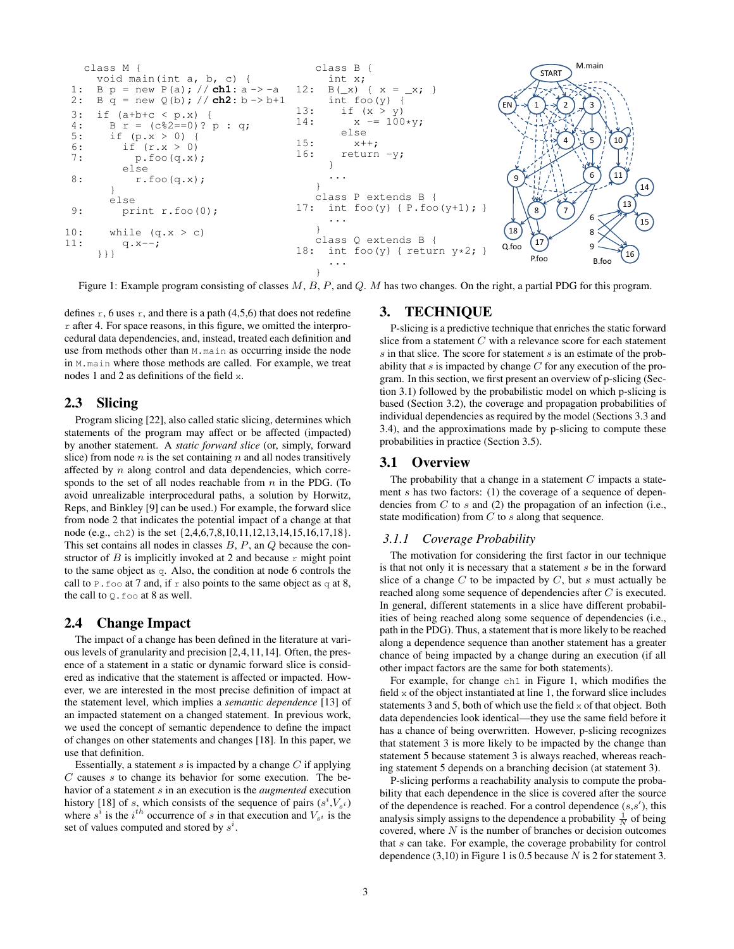

Figure 1: Example program consisting of classes  $M$ ,  $B$ ,  $P$ , and  $Q$ .  $M$  has two changes. On the right, a partial PDG for this program.

defines  $r$ , 6 uses  $r$ , and there is a path (4,5,6) that does not redefine  $r$  after 4. For space reasons, in this figure, we omitted the interprocedural data dependencies, and, instead, treated each definition and use from methods other than M.main as occurring inside the node in M.main where those methods are called. For example, we treat nodes 1 and 2 as definitions of the field x.

#### 2.3 Slicing

Program slicing [22], also called static slicing, determines which statements of the program may affect or be affected (impacted) by another statement. A *static forward slice* (or, simply, forward slice) from node  $n$  is the set containing  $n$  and all nodes transitively affected by n along control and data dependencies, which corresponds to the set of all nodes reachable from  $n$  in the PDG. (To avoid unrealizable interprocedural paths, a solution by Horwitz, Reps, and Binkley [9] can be used.) For example, the forward slice from node 2 that indicates the potential impact of a change at that node (e.g., ch2) is the set {2,4,6,7,8,10,11,12,13,14,15,16,17,18}. This set contains all nodes in classes  $B$ ,  $P$ , an  $Q$  because the constructor of  $B$  is implicitly invoked at 2 and because  $r$  might point to the same object as q. Also, the condition at node 6 controls the call to P. foo at 7 and, if r also points to the same object as  $q$  at 8, the call to  $Q$ . foo at 8 as well.

#### 2.4 Change Impact

The impact of a change has been defined in the literature at various levels of granularity and precision [2,4,11,14]. Often, the presence of a statement in a static or dynamic forward slice is considered as indicative that the statement is affected or impacted. However, we are interested in the most precise definition of impact at the statement level, which implies a *semantic dependence* [13] of an impacted statement on a changed statement. In previous work, we used the concept of semantic dependence to define the impact of changes on other statements and changes [18]. In this paper, we use that definition.

Essentially, a statement  $s$  is impacted by a change  $C$  if applying  $C$  causes  $s$  to change its behavior for some execution. The behavior of a statement s in an execution is the *augmented* execution history [18] of s, which consists of the sequence of pairs  $(s^i, V_{s^i})$ where  $s^i$  is the  $i^{th}$  occurrence of s in that execution and  $V_{s^i}$  is the set of values computed and stored by  $s^i$ .

## 3. TECHNIQUE

P-slicing is a predictive technique that enriches the static forward slice from a statement  $C$  with a relevance score for each statement  $s$  in that slice. The score for statement  $s$  is an estimate of the probability that s is impacted by change  $C$  for any execution of the program. In this section, we first present an overview of p-slicing (Section 3.1) followed by the probabilistic model on which p-slicing is based (Section 3.2), the coverage and propagation probabilities of individual dependencies as required by the model (Sections 3.3 and 3.4), and the approximations made by p-slicing to compute these probabilities in practice (Section 3.5).

#### 3.1 Overview

The probability that a change in a statement  $C$  impacts a statement s has two factors: (1) the coverage of a sequence of dependencies from  $C$  to  $s$  and (2) the propagation of an infection (i.e., state modification) from  $C$  to  $s$  along that sequence.

#### *3.1.1 Coverage Probability*

The motivation for considering the first factor in our technique is that not only it is necessary that a statement s be in the forward slice of a change  $C$  to be impacted by  $C$ , but  $s$  must actually be reached along some sequence of dependencies after C is executed. In general, different statements in a slice have different probabilities of being reached along some sequence of dependencies (i.e., path in the PDG). Thus, a statement that is more likely to be reached along a dependence sequence than another statement has a greater chance of being impacted by a change during an execution (if all other impact factors are the same for both statements).

For example, for change ch1 in Figure 1, which modifies the field  $x$  of the object instantiated at line 1, the forward slice includes statements 3 and 5, both of which use the field  $x$  of that object. Both data dependencies look identical—they use the same field before it has a chance of being overwritten. However, p-slicing recognizes that statement 3 is more likely to be impacted by the change than statement 5 because statement 3 is always reached, whereas reaching statement 5 depends on a branching decision (at statement 3).

P-slicing performs a reachability analysis to compute the probability that each dependence in the slice is covered after the source of the dependence is reached. For a control dependence  $(s, s')$ , this analysis simply assigns to the dependence a probability  $\frac{1}{N}$  of being covered, where  $N$  is the number of branches or decision outcomes that s can take. For example, the coverage probability for control dependence  $(3,10)$  in Figure 1 is 0.5 because N is 2 for statement 3.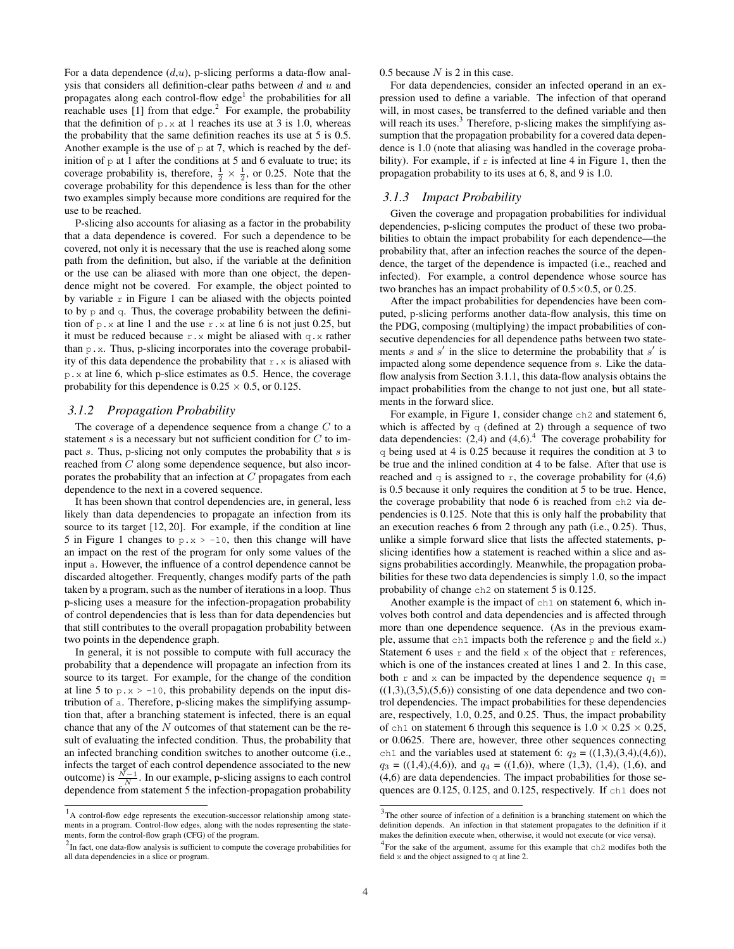For a data dependence  $(d, u)$ , p-slicing performs a data-flow analysis that considers all definition-clear paths between  $d$  and  $u$  and propagates along each control-flow  $edge<sup>1</sup>$  the probabilities for all reachable uses  $[1]$  from that edge.<sup>2</sup> For example, the probability that the definition of  $p \cdot x$  at 1 reaches its use at 3 is 1.0, whereas the probability that the same definition reaches its use at 5 is 0.5. Another example is the use of  $p$  at 7, which is reached by the definition of  $p$  at 1 after the conditions at 5 and 6 evaluate to true; its coverage probability is, therefore,  $\frac{1}{2} \times \frac{1}{2}$ , or 0.25. Note that the coverage probability for this dependence is less than for the other two examples simply because more conditions are required for the use to be reached.

P-slicing also accounts for aliasing as a factor in the probability that a data dependence is covered. For such a dependence to be covered, not only it is necessary that the use is reached along some path from the definition, but also, if the variable at the definition or the use can be aliased with more than one object, the dependence might not be covered. For example, the object pointed to by variable  $r$  in Figure 1 can be aliased with the objects pointed to by p and q. Thus, the coverage probability between the definition of  $p.x$  at line 1 and the use  $r.x$  at line 6 is not just 0.25, but it must be reduced because  $r \cdot x$  might be aliased with q.x rather than  $p.x$ . Thus, p-slicing incorporates into the coverage probability of this data dependence the probability that  $r \cdot x$  is aliased with p.x at line 6, which p-slice estimates as 0.5. Hence, the coverage probability for this dependence is  $0.25 \times 0.5$ , or 0.125.

#### *3.1.2 Propagation Probability*

The coverage of a dependence sequence from a change  $C$  to a statement  $s$  is a necessary but not sufficient condition for  $C$  to impact s. Thus, p-slicing not only computes the probability that  $s$  is reached from C along some dependence sequence, but also incorporates the probability that an infection at  $C$  propagates from each dependence to the next in a covered sequence.

It has been shown that control dependencies are, in general, less likely than data dependencies to propagate an infection from its source to its target [12, 20]. For example, if the condition at line 5 in Figure 1 changes to  $p.x > -10$ , then this change will have an impact on the rest of the program for only some values of the input a. However, the influence of a control dependence cannot be discarded altogether. Frequently, changes modify parts of the path taken by a program, such as the number of iterations in a loop. Thus p-slicing uses a measure for the infection-propagation probability of control dependencies that is less than for data dependencies but that still contributes to the overall propagation probability between two points in the dependence graph.

In general, it is not possible to compute with full accuracy the probability that a dependence will propagate an infection from its source to its target. For example, for the change of the condition at line 5 to  $p.x > -10$ , this probability depends on the input distribution of a. Therefore, p-slicing makes the simplifying assumption that, after a branching statement is infected, there is an equal chance that any of the  $N$  outcomes of that statement can be the result of evaluating the infected condition. Thus, the probability that an infected branching condition switches to another outcome (i.e., infects the target of each control dependence associated to the new outcome) is  $\frac{N-1}{N}$ . In our example, p-slicing assigns to each control dependence from statement 5 the infection-propagation probability

#### 0.5 because  $N$  is 2 in this case.

For data dependencies, consider an infected operand in an expression used to define a variable. The infection of that operand will, in most cases, be transferred to the defined variable and then will reach its uses. $3$  Therefore, p-slicing makes the simplifying assumption that the propagation probability for a covered data dependence is 1.0 (note that aliasing was handled in the coverage probability). For example, if  $r$  is infected at line 4 in Figure 1, then the propagation probability to its uses at 6, 8, and 9 is 1.0.

## *3.1.3 Impact Probability*

Given the coverage and propagation probabilities for individual dependencies, p-slicing computes the product of these two probabilities to obtain the impact probability for each dependence—the probability that, after an infection reaches the source of the dependence, the target of the dependence is impacted (i.e., reached and infected). For example, a control dependence whose source has two branches has an impact probability of 0.5×0.5, or 0.25.

After the impact probabilities for dependencies have been computed, p-slicing performs another data-flow analysis, this time on the PDG, composing (multiplying) the impact probabilities of consecutive dependencies for all dependence paths between two statements s and s' in the slice to determine the probability that s' is impacted along some dependence sequence from s. Like the dataflow analysis from Section 3.1.1, this data-flow analysis obtains the impact probabilities from the change to not just one, but all statements in the forward slice.

For example, in Figure 1, consider change ch2 and statement 6, which is affected by  $q$  (defined at 2) through a sequence of two data dependencies:  $(2,4)$  and  $(4,6)$ .<sup>4</sup> The coverage probability for q being used at 4 is 0.25 because it requires the condition at 3 to be true and the inlined condition at 4 to be false. After that use is reached and q is assigned to r, the coverage probability for  $(4,6)$ is 0.5 because it only requires the condition at 5 to be true. Hence, the coverage probability that node 6 is reached from ch2 via dependencies is 0.125. Note that this is only half the probability that an execution reaches 6 from 2 through any path (i.e., 0.25). Thus, unlike a simple forward slice that lists the affected statements, pslicing identifies how a statement is reached within a slice and assigns probabilities accordingly. Meanwhile, the propagation probabilities for these two data dependencies is simply 1.0, so the impact probability of change ch2 on statement 5 is 0.125.

Another example is the impact of ch1 on statement 6, which involves both control and data dependencies and is affected through more than one dependence sequence. (As in the previous example, assume that  $ch1$  impacts both the reference  $p$  and the field x.) Statement 6 uses  $r$  and the field x of the object that  $r$  references, which is one of the instances created at lines 1 and 2. In this case, both r and x can be impacted by the dependence sequence  $q_1$  =  $((1,3),(3,5),(5,6))$  consisting of one data dependence and two control dependencies. The impact probabilities for these dependencies are, respectively, 1.0, 0.25, and 0.25. Thus, the impact probability of ch1 on statement 6 through this sequence is  $1.0 \times 0.25 \times 0.25$ , or 0.0625. There are, however, three other sequences connecting ch1 and the variables used at statement 6:  $q_2 = ((1,3),(3,4),(4,6))$ ,  $q_3 = ((1,4),(4,6))$ , and  $q_4 = ((1,6))$ , where  $(1,3), (1,4), (1,6)$ , and (4,6) are data dependencies. The impact probabilities for those sequences are 0.125, 0.125, and 0.125, respectively. If ch1 does not

<sup>&</sup>lt;sup>1</sup>A control-flow edge represents the execution-successor relationship among statements in a program. Control-flow edges, along with the nodes representing the statements, form the control-flow graph (CFG) of the program.

 $2$ In fact, one data-flow analysis is sufficient to compute the coverage probabilities for all data dependencies in a slice or program.

<sup>&</sup>lt;sup>3</sup>The other source of infection of a definition is a branching statement on which the definition depends. An infection in that statement propagates to the definition if it makes the definition execute when, otherwise, it would not execute (or vice versa).

<sup>&</sup>lt;sup>4</sup> For the sake of the argument, assume for this example that ch2 modifes both the field  $x$  and the object assigned to  $q$  at line 2.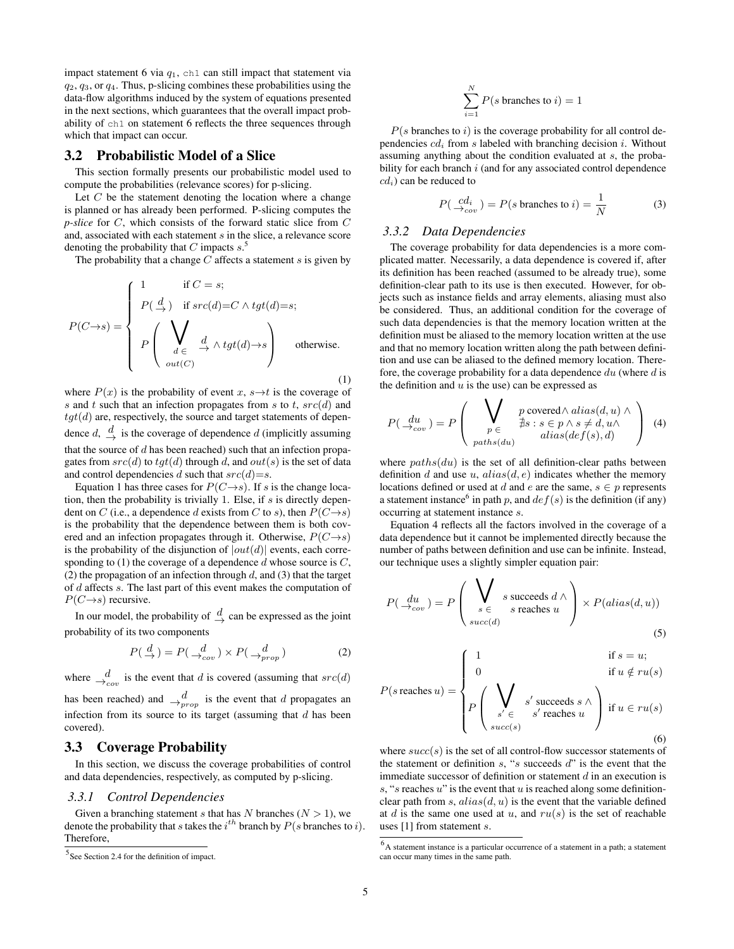impact statement 6 via  $q_1$ , ch1 can still impact that statement via  $q_2$ ,  $q_3$ , or  $q_4$ . Thus, p-slicing combines these probabilities using the data-flow algorithms induced by the system of equations presented in the next sections, which guarantees that the overall impact probability of ch1 on statement 6 reflects the three sequences through which that impact can occur.

#### 3.2 Probabilistic Model of a Slice

This section formally presents our probabilistic model used to compute the probabilities (relevance scores) for p-slicing.

Let  $C$  be the statement denoting the location where a change is planned or has already been performed. P-slicing computes the *p-slice* for C, which consists of the forward static slice from C and, associated with each statement s in the slice, a relevance score denoting the probability that C impacts  $s$ .<sup>5</sup>

The probability that a change  $\overline{C}$  affects a statement s is given by

$$
P(C \rightarrow s) = \begin{cases} 1 & \text{if } C = s; \\ P(\frac{d}{\rightarrow}) & \text{if } src(d) = C \land \text{tgt}(d) = s; \\ P\left(\bigvee_{d \in \frac{d}{\rightarrow}} \frac{d}{\rightarrow} \land \text{tgt}(d) \rightarrow s\right) & \text{otherwise.} \\ out(C) & (1) \end{cases}
$$

where  $P(x)$  is the probability of event x,  $s \rightarrow t$  is the coverage of s and t such that an infection propagates from s to t,  $src(d)$  and  $tgt(d)$  are, respectively, the source and target statements of dependence  $d, \frac{d}{d}$  is the coverage of dependence d (implicitly assuming that the source of  $d$  has been reached) such that an infection propagates from  $src(d)$  to  $tgt(d)$  through d, and  $out(s)$  is the set of data and control dependencies d such that  $src(d)=s$ .

Equation 1 has three cases for  $P(C \rightarrow s)$ . If s is the change location, then the probability is trivially 1. Else, if  $s$  is directly dependent on C (i.e., a dependence d exists from C to s), then  $P(C \rightarrow s)$ is the probability that the dependence between them is both covered and an infection propagates through it. Otherwise,  $P(C \rightarrow s)$ is the probability of the disjunction of  $|out(d)|$  events, each corresponding to (1) the coverage of a dependence  $d$  whose source is  $C$ , (2) the propagation of an infection through  $d$ , and (3) that the target of d affects s. The last part of this event makes the computation of  $P(C \rightarrow s)$  recursive.

In our model, the probability of  $\frac{d}{dx}$  can be expressed as the joint probability of its two components

$$
P(\stackrel{d}{\to}) = P(\stackrel{d}{\to_{cov}}) \times P(\stackrel{d}{\to_{prop}})
$$
 (2)

where  $\frac{d}{dx}$  is the event that d is covered (assuming that  $src(d)$ 

has been reached) and  $\frac{d}{\rightarrow_{prop}}$  is the event that d propagates an infection from its source to its target (assuming that  $d$  has been covered).

## 3.3 Coverage Probability

In this section, we discuss the coverage probabilities of control and data dependencies, respectively, as computed by p-slicing.

#### *3.3.1 Control Dependencies*

Given a branching statement s that has N branches  $(N > 1)$ , we denote the probability that s takes the  $i^{th}$  branch by  $P(s$  branches to i). Therefore,

$$
\sum_{i=1}^{N} P(s \text{ branches to } i) = 1
$$

 $P(s)$  branches to i) is the coverage probability for all control dependencies  $cd_i$  from s labeled with branching decision i. Without assuming anything about the condition evaluated at s, the probability for each branch i (and for any associated control dependence  $cd<sub>i</sub>$ ) can be reduced to

$$
P(\begin{array}{c} cd_i \\ \rightarrow_{cov} \end{array}) = P(s \text{ branches to } i) = \frac{1}{N}
$$
 (3)

#### *3.3.2 Data Dependencies*

The coverage probability for data dependencies is a more complicated matter. Necessarily, a data dependence is covered if, after its definition has been reached (assumed to be already true), some definition-clear path to its use is then executed. However, for objects such as instance fields and array elements, aliasing must also be considered. Thus, an additional condition for the coverage of such data dependencies is that the memory location written at the definition must be aliased to the memory location written at the use and that no memory location written along the path between definition and use can be aliased to the defined memory location. Therefore, the coverage probability for a data dependence  $du$  (where  $d$  is the definition and  $u$  is the use) can be expressed as

$$
P(\frac{du}{\rightarrow cov}) = P\left(\bigvee_{\substack{p \in \\ paths(du)}} \frac{p \text{ covered} \land alias(d, u) \land \forall}{\text{alias}(def(s), d)}\right) (4)
$$

where  $paths(du)$  is the set of all definition-clear paths between definition d and use u,  $alias(d, e)$  indicates whether the memory locations defined or used at d and e are the same,  $s \in p$  represents a statement instance<sup>6</sup> in path p, and  $def(s)$  is the definition (if any) occurring at statement instance s.

Equation 4 reflects all the factors involved in the coverage of a data dependence but it cannot be implemented directly because the number of paths between definition and use can be infinite. Instead, our technique uses a slightly simpler equation pair:

$$
P(\frac{du}{\rightarrow_{cov}}) = P\left(\bigvee_{\substack{s \in \\ succ(d)}} s \text{ succeeds } d \land \right) \times P(alias(d, u))
$$
\n(5)

$$
P(s \text{ reaches } u) = \begin{cases} 1 & \text{if } s = u; \\ 0 & \text{if } u \notin ru(s) \\ P\left(\bigvee_{s' \in s' \text{ reaches } u} s' \text{ reaches } u\right) & \text{if } u \in ru(s) \\ \text{succ}(s) & (6) \end{cases}
$$

where  $succ(s)$  is the set of all control-flow successor statements of the statement or definition  $s$ , " $s$  succeeds  $d$ " is the event that the immediate successor of definition or statement  $d$  in an execution is  $s, "s$  reaches  $u"$  is the event that  $u$  is reached along some definitionclear path from s,  $alias(d, u)$  is the event that the variable defined at d is the same one used at u, and  $ru(s)$  is the set of reachable uses [1] from statement s.

<sup>&</sup>lt;sup>5</sup> See Section 2.4 for the definition of impact.

<sup>&</sup>lt;sup>6</sup>A statement instance is a particular occurrence of a statement in a path; a statement can occur many times in the same path.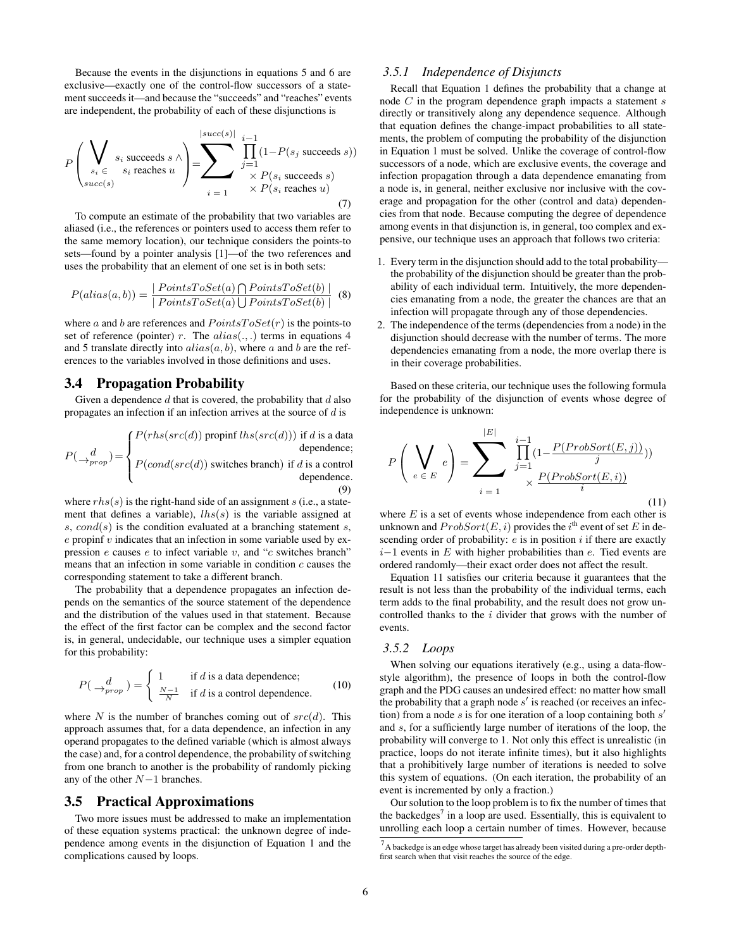Because the events in the disjunctions in equations 5 and 6 are exclusive—exactly one of the control-flow successors of a statement succeeds it—and because the "succeeds" and "reaches" events are independent, the probability of each of these disjunctions is

$$
P\left(\bigvee_{\substack{s_i \in S_i \text{ succeeds } s \land \\ \text{succ}(s)}} s_i \text{ succeeds } u\right) = \sum_{i=1}^{|succ(s)|} \prod_{\substack{j=1 \\ \times P(s_i \text{ succeeds } s)}}^{i-1} (1 - P(s_j \text{ succeeds } s))
$$
\n
$$
\times P(s_i \text{ succeeds } u) \tag{7}
$$

To compute an estimate of the probability that two variables are aliased (i.e., the references or pointers used to access them refer to the same memory location), our technique considers the points-to sets—found by a pointer analysis [1]—of the two references and uses the probability that an element of one set is in both sets:

$$
P(alias(a, b)) = \frac{|PointsToSet(a) \bigcap PointsToSet(b)|}{| PointsToSet(a) \bigcup PointsToSet(b)|} \tag{8}
$$

where a and b are references and  $PointsToSet(r)$  is the points-to set of reference (pointer) r. The  $alias(.,.)$  terms in equations 4 and 5 translate directly into  $alias(a, b)$ , where a and b are the references to the variables involved in those definitions and uses.

### 3.4 Propagation Probability

Given a dependence  $d$  that is covered, the probability that  $d$  also propagates an infection if an infection arrives at the source of  $d$  is

$$
P(\rightarrow_{prop}^{d}) = \begin{cases} P(rhs(src(d)) \text{ propri } lhs(src(d))) & \text{if } d \text{ is a data} \\ P(cond(src(d)) \text{ switches branch}) & \text{if } d \text{ is a control} \\ P(cond(src(d)) \text{ switches branch}) & \text{if } d \text{ is a control} \\ \text{dependence.} \end{cases}
$$

where  $rhs(s)$  is the right-hand side of an assignment s (i.e., a statement that defines a variable),  $\ln(s)$  is the variable assigned at s,  $cond(s)$  is the condition evaluated at a branching statement s,  $e$  propinf  $v$  indicates that an infection in some variable used by expression  $e$  causes  $e$  to infect variable  $v$ , and " $c$  switches branch" means that an infection in some variable in condition  $c$  causes the corresponding statement to take a different branch.

The probability that a dependence propagates an infection depends on the semantics of the source statement of the dependence and the distribution of the values used in that statement. Because the effect of the first factor can be complex and the second factor is, in general, undecidable, our technique uses a simpler equation for this probability:

$$
P(\bigcup_{prop}^{d} ) = \begin{cases} 1 & \text{if } d \text{ is a data dependence;} \\ \frac{N-1}{N} & \text{if } d \text{ is a control dependence.} \end{cases} \tag{10}
$$

where N is the number of branches coming out of  $src(d)$ . This approach assumes that, for a data dependence, an infection in any operand propagates to the defined variable (which is almost always the case) and, for a control dependence, the probability of switching from one branch to another is the probability of randomly picking any of the other N−1 branches.

#### 3.5 Practical Approximations

Two more issues must be addressed to make an implementation of these equation systems practical: the unknown degree of independence among events in the disjunction of Equation 1 and the complications caused by loops.

## *3.5.1 Independence of Disjuncts*

Recall that Equation 1 defines the probability that a change at node  $C$  in the program dependence graph impacts a statement  $s$ directly or transitively along any dependence sequence. Although that equation defines the change-impact probabilities to all statements, the problem of computing the probability of the disjunction in Equation 1 must be solved. Unlike the coverage of control-flow successors of a node, which are exclusive events, the coverage and infection propagation through a data dependence emanating from a node is, in general, neither exclusive nor inclusive with the coverage and propagation for the other (control and data) dependencies from that node. Because computing the degree of dependence among events in that disjunction is, in general, too complex and expensive, our technique uses an approach that follows two criteria:

- 1. Every term in the disjunction should add to the total probability the probability of the disjunction should be greater than the probability of each individual term. Intuitively, the more dependencies emanating from a node, the greater the chances are that an infection will propagate through any of those dependencies.
- 2. The independence of the terms (dependencies from a node) in the disjunction should decrease with the number of terms. The more dependencies emanating from a node, the more overlap there is in their coverage probabilities.

Based on these criteria, our technique uses the following formula for the probability of the disjunction of events whose degree of independence is unknown:

$$
P\left(\bigvee_{e \in E} e\right) = \sum_{i=1}^{|E|} \prod_{j=1}^{i-1} \frac{(1 - \frac{P(ProbSort(E,j))}{j}))}{\sum_{i=1}^{P(ProbSort(E,i))} (11)}
$$

where  $E$  is a set of events whose independence from each other is unknown and  $Probability( E, i )$  provides the i<sup>th</sup> event of set E in descending order of probability:  $e$  is in position  $i$  if there are exactly  $i-1$  events in E with higher probabilities than e. Tied events are ordered randomly—their exact order does not affect the result.

Equation 11 satisfies our criteria because it guarantees that the result is not less than the probability of the individual terms, each term adds to the final probability, and the result does not grow uncontrolled thanks to the i divider that grows with the number of events.

#### *3.5.2 Loops*

When solving our equations iteratively (e.g., using a data-flowstyle algorithm), the presence of loops in both the control-flow graph and the PDG causes an undesired effect: no matter how small the probability that a graph node  $s'$  is reached (or receives an infection) from a node  $s$  is for one iteration of a loop containing both  $s'$ and s, for a sufficiently large number of iterations of the loop, the probability will converge to 1. Not only this effect is unrealistic (in practice, loops do not iterate infinite times), but it also highlights that a prohibitively large number of iterations is needed to solve this system of equations. (On each iteration, the probability of an event is incremented by only a fraction.)

Our solution to the loop problem is to fix the number of times that the backedges<sup>7</sup> in a loop are used. Essentially, this is equivalent to unrolling each loop a certain number of times. However, because

 $<sup>7</sup>$  A backedge is an edge whose target has already been visited during a pre-order depth-</sup> first search when that visit reaches the source of the edge.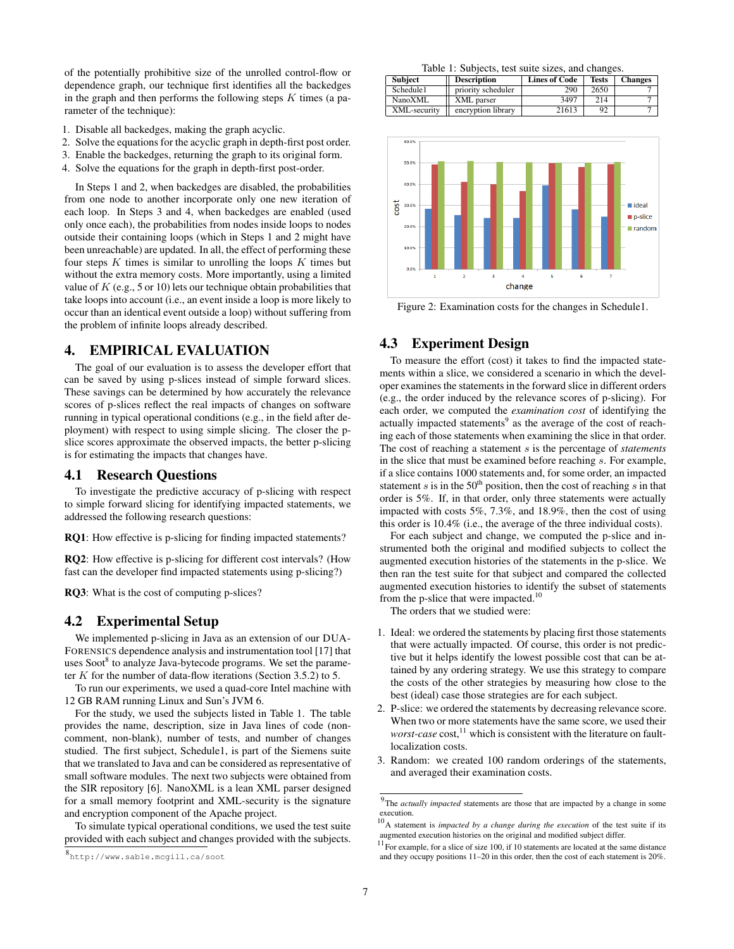of the potentially prohibitive size of the unrolled control-flow or dependence graph, our technique first identifies all the backedges in the graph and then performs the following steps  $K$  times (a parameter of the technique):

- 1. Disable all backedges, making the graph acyclic.
- 2. Solve the equations for the acyclic graph in depth-first post order.
- 3. Enable the backedges, returning the graph to its original form.
- 4. Solve the equations for the graph in depth-first post-order.

In Steps 1 and 2, when backedges are disabled, the probabilities from one node to another incorporate only one new iteration of each loop. In Steps 3 and 4, when backedges are enabled (used only once each), the probabilities from nodes inside loops to nodes outside their containing loops (which in Steps 1 and 2 might have been unreachable) are updated. In all, the effect of performing these four steps  $K$  times is similar to unrolling the loops  $K$  times but without the extra memory costs. More importantly, using a limited value of  $K$  (e.g., 5 or 10) lets our technique obtain probabilities that take loops into account (i.e., an event inside a loop is more likely to occur than an identical event outside a loop) without suffering from the problem of infinite loops already described.

#### 4. EMPIRICAL EVALUATION

The goal of our evaluation is to assess the developer effort that can be saved by using p-slices instead of simple forward slices. These savings can be determined by how accurately the relevance scores of p-slices reflect the real impacts of changes on software running in typical operational conditions (e.g., in the field after deployment) with respect to using simple slicing. The closer the pslice scores approximate the observed impacts, the better p-slicing is for estimating the impacts that changes have.

## 4.1 Research Questions

To investigate the predictive accuracy of p-slicing with respect to simple forward slicing for identifying impacted statements, we addressed the following research questions:

RQ1: How effective is p-slicing for finding impacted statements?

RQ2: How effective is p-slicing for different cost intervals? (How fast can the developer find impacted statements using p-slicing?)

RQ3: What is the cost of computing p-slices?

### 4.2 Experimental Setup

We implemented p-slicing in Java as an extension of our DUA-FORENSICS dependence analysis and instrumentation tool [17] that uses Soot<sup>8</sup> to analyze Java-bytecode programs. We set the parameter  $K$  for the number of data-flow iterations (Section 3.5.2) to 5.

To run our experiments, we used a quad-core Intel machine with 12 GB RAM running Linux and Sun's JVM 6.

For the study, we used the subjects listed in Table 1. The table provides the name, description, size in Java lines of code (noncomment, non-blank), number of tests, and number of changes studied. The first subject, Schedule1, is part of the Siemens suite that we translated to Java and can be considered as representative of small software modules. The next two subjects were obtained from the SIR repository [6]. NanoXML is a lean XML parser designed for a small memory footprint and XML-security is the signature and encryption component of the Apache project.

To simulate typical operational conditions, we used the test suite provided with each subject and changes provided with the subjects.

Table 1: Subjects, test suite sizes, and changes.

| <b>Subject</b> | <b>Description</b> | <b>Lines of Code</b> | <b>Tests</b> | <b>Changes</b> |
|----------------|--------------------|----------------------|--------------|----------------|
| Schedule1      | priority scheduler | 290                  | 2650         |                |
| NanoXML        | XML parser         | 3497                 | 214          |                |
| XML-security   | encryption library | 21613                | 92           |                |



Figure 2: Examination costs for the changes in Schedule1.

## 4.3 Experiment Design

To measure the effort (cost) it takes to find the impacted statements within a slice, we considered a scenario in which the developer examines the statements in the forward slice in different orders (e.g., the order induced by the relevance scores of p-slicing). For each order, we computed the *examination cost* of identifying the actually impacted statements<sup>9</sup> as the average of the cost of reaching each of those statements when examining the slice in that order. The cost of reaching a statement s is the percentage of *statements* in the slice that must be examined before reaching s. For example, if a slice contains 1000 statements and, for some order, an impacted statement  $s$  is in the 50<sup>th</sup> position, then the cost of reaching  $s$  in that order is 5%. If, in that order, only three statements were actually impacted with costs 5%, 7.3%, and 18.9%, then the cost of using this order is 10.4% (i.e., the average of the three individual costs).

For each subject and change, we computed the p-slice and instrumented both the original and modified subjects to collect the augmented execution histories of the statements in the p-slice. We then ran the test suite for that subject and compared the collected augmented execution histories to identify the subset of statements from the p-slice that were impacted.<sup>10</sup>

The orders that we studied were:

- 1. Ideal: we ordered the statements by placing first those statements that were actually impacted. Of course, this order is not predictive but it helps identify the lowest possible cost that can be attained by any ordering strategy. We use this strategy to compare the costs of the other strategies by measuring how close to the best (ideal) case those strategies are for each subject.
- 2. P-slice: we ordered the statements by decreasing relevance score. When two or more statements have the same score, we used their *worst-case* cost,<sup>11</sup> which is consistent with the literature on faultlocalization costs.
- 3. Random: we created 100 random orderings of the statements, and averaged their examination costs.

<sup>8</sup> http://www.sable.mcgill.ca/soot

<sup>&</sup>lt;sup>9</sup>The *actually impacted* statements are those that are impacted by a change in some execution.

<sup>&</sup>lt;sup>10</sup>A statement is *impacted by a change during the execution* of the test suite if its augmented execution histories on the original and modified subject differ.

 $11$  For example, for a slice of size 100, if 10 statements are located at the same distance and they occupy positions 11–20 in this order, then the cost of each statement is 20%.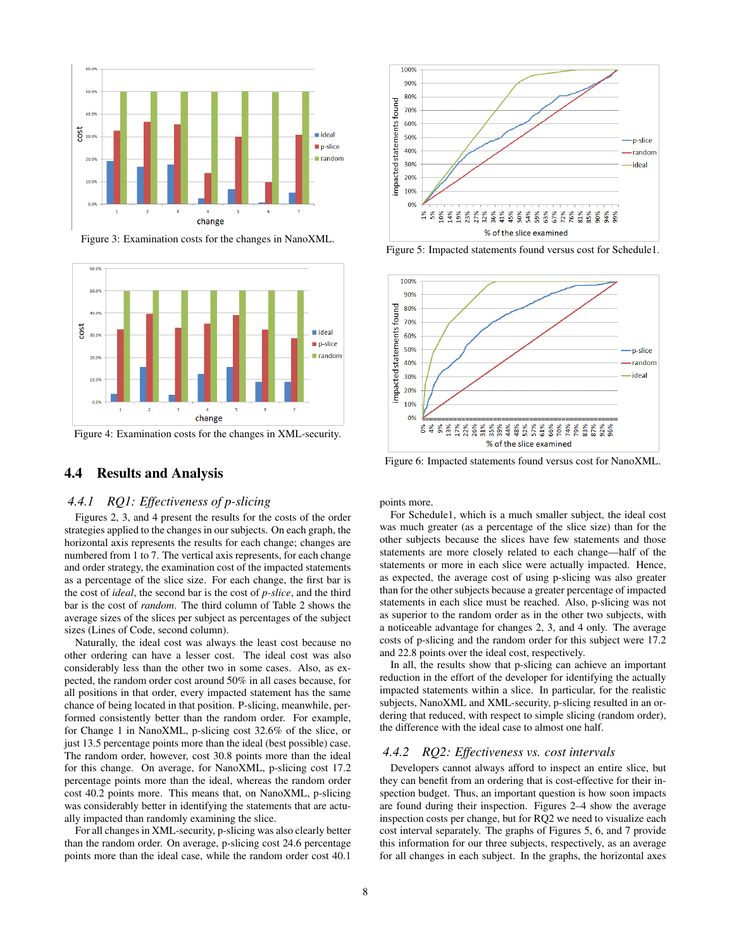

Figure 3: Examination costs for the changes in NanoXML.



Figure 4: Examination costs for the changes in XML-security.

# 4.4 Results and Analysis

#### *4.4.1 RQ1: Effectiveness of p-slicing*

Figures 2, 3, and 4 present the results for the costs of the order strategies applied to the changes in our subjects. On each graph, the horizontal axis represents the results for each change; changes are numbered from 1 to 7. The vertical axis represents, for each change and order strategy, the examination cost of the impacted statements as a percentage of the slice size. For each change, the first bar is the cost of *ideal*, the second bar is the cost of *p-slice*, and the third bar is the cost of *random*. The third column of Table 2 shows the average sizes of the slices per subject as percentages of the subject sizes (Lines of Code, second column).

Naturally, the ideal cost was always the least cost because no other ordering can have a lesser cost. The ideal cost was also considerably less than the other two in some cases. Also, as expected, the random order cost around 50% in all cases because, for all positions in that order, every impacted statement has the same chance of being located in that position. P-slicing, meanwhile, performed consistently better than the random order. For example, for Change 1 in NanoXML, p-slicing cost 32.6% of the slice, or just 13.5 percentage points more than the ideal (best possible) case. The random order, however, cost 30.8 points more than the ideal for this change. On average, for NanoXML, p-slicing cost 17.2 percentage points more than the ideal, whereas the random order cost 40.2 points more. This means that, on NanoXML, p-slicing was considerably better in identifying the statements that are actually impacted than randomly examining the slice.

For all changes in XML-security, p-slicing was also clearly better than the random order. On average, p-slicing cost 24.6 percentage points more than the ideal case, while the random order cost 40.1



Figure 5: Impacted statements found versus cost for Schedule1.

![](_page_7_Figure_11.jpeg)

Figure 6: Impacted statements found versus cost for NanoXML.

points more.

For Schedule1, which is a much smaller subject, the ideal cost was much greater (as a percentage of the slice size) than for the other subjects because the slices have few statements and those statements are more closely related to each change—half of the statements or more in each slice were actually impacted. Hence, as expected, the average cost of using p-slicing was also greater than for the other subjects because a greater percentage of impacted statements in each slice must be reached. Also, p-slicing was not as superior to the random order as in the other two subjects, with a noticeable advantage for changes 2, 3, and 4 only. The average costs of p-slicing and the random order for this subject were 17.2 and 22.8 points over the ideal cost, respectively.

In all, the results show that p-slicing can achieve an important reduction in the effort of the developer for identifying the actually impacted statements within a slice. In particular, for the realistic subjects, NanoXML and XML-security, p-slicing resulted in an ordering that reduced, with respect to simple slicing (random order), the difference with the ideal case to almost one half.

#### *4.4.2 RQ2: Effectiveness vs. cost intervals*

Developers cannot always afford to inspect an entire slice, but they can benefit from an ordering that is cost-effective for their inspection budget. Thus, an important question is how soon impacts are found during their inspection. Figures 2–4 show the average inspection costs per change, but for RQ2 we need to visualize each cost interval separately. The graphs of Figures 5, 6, and 7 provide this information for our three subjects, respectively, as an average for all changes in each subject. In the graphs, the horizontal axes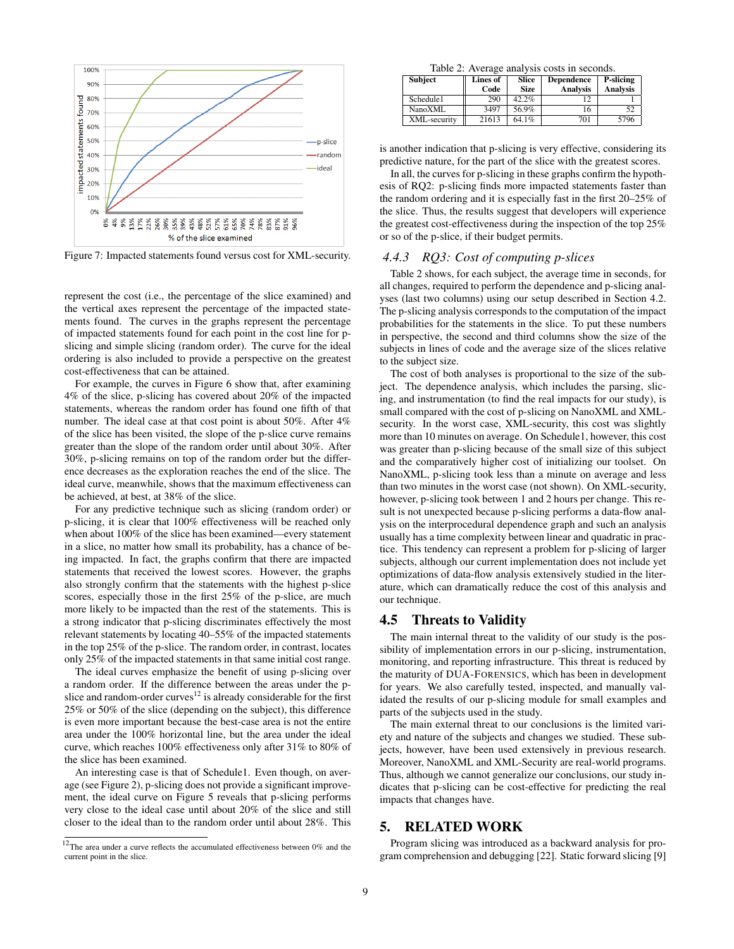![](_page_8_Figure_0.jpeg)

Figure 7: Impacted statements found versus cost for XML-security.

represent the cost (i.e., the percentage of the slice examined) and the vertical axes represent the percentage of the impacted statements found. The curves in the graphs represent the percentage of impacted statements found for each point in the cost line for pslicing and simple slicing (random order). The curve for the ideal ordering is also included to provide a perspective on the greatest cost-effectiveness that can be attained.

For example, the curves in Figure 6 show that, after examining 4% of the slice, p-slicing has covered about 20% of the impacted statements, whereas the random order has found one fifth of that number. The ideal case at that cost point is about 50%. After 4% of the slice has been visited, the slope of the p-slice curve remains greater than the slope of the random order until about 30%. After 30%, p-slicing remains on top of the random order but the difference decreases as the exploration reaches the end of the slice. The ideal curve, meanwhile, shows that the maximum effectiveness can be achieved, at best, at 38% of the slice.

For any predictive technique such as slicing (random order) or p-slicing, it is clear that 100% effectiveness will be reached only when about 100% of the slice has been examined—every statement in a slice, no matter how small its probability, has a chance of being impacted. In fact, the graphs confirm that there are impacted statements that received the lowest scores. However, the graphs also strongly confirm that the statements with the highest p-slice scores, especially those in the first 25% of the p-slice, are much more likely to be impacted than the rest of the statements. This is a strong indicator that p-slicing discriminates effectively the most relevant statements by locating 40–55% of the impacted statements in the top 25% of the p-slice. The random order, in contrast, locates only 25% of the impacted statements in that same initial cost range.

The ideal curves emphasize the benefit of using p-slicing over a random order. If the difference between the areas under the pslice and random-order curves<sup>12</sup> is already considerable for the first 25% or 50% of the slice (depending on the subject), this difference is even more important because the best-case area is not the entire area under the 100% horizontal line, but the area under the ideal curve, which reaches 100% effectiveness only after 31% to 80% of the slice has been examined.

An interesting case is that of Schedule1. Even though, on average (see Figure 2), p-slicing does not provide a significant improvement, the ideal curve on Figure 5 reveals that p-slicing performs very close to the ideal case until about 20% of the slice and still closer to the ideal than to the random order until about 28%. This

Table 2: Average analysis costs in seconds.

| <b>Subject</b> | Lines of | Slice       | <b>Dependence</b> | P-slicing       |
|----------------|----------|-------------|-------------------|-----------------|
|                | Code     | <b>Size</b> | <b>Analysis</b>   | <b>Analysis</b> |
| Schedule1      | 290      | 42.2%       |                   |                 |
| NanoXML        | 3497     | 56.9%       |                   | 52              |
| XML-security   | 21613    | 64.1%       | 701               | 5796            |

is another indication that p-slicing is very effective, considering its predictive nature, for the part of the slice with the greatest scores.

In all, the curves for p-slicing in these graphs confirm the hypothesis of RQ2: p-slicing finds more impacted statements faster than the random ordering and it is especially fast in the first 20–25% of the slice. Thus, the results suggest that developers will experience the greatest cost-effectiveness during the inspection of the top 25% or so of the p-slice, if their budget permits.

### *4.4.3 RQ3: Cost of computing p-slices*

Table 2 shows, for each subject, the average time in seconds, for all changes, required to perform the dependence and p-slicing analyses (last two columns) using our setup described in Section 4.2. The p-slicing analysis corresponds to the computation of the impact probabilities for the statements in the slice. To put these numbers in perspective, the second and third columns show the size of the subjects in lines of code and the average size of the slices relative to the subject size.

The cost of both analyses is proportional to the size of the subject. The dependence analysis, which includes the parsing, slicing, and instrumentation (to find the real impacts for our study), is small compared with the cost of p-slicing on NanoXML and XMLsecurity. In the worst case, XML-security, this cost was slightly more than 10 minutes on average. On Schedule1, however, this cost was greater than p-slicing because of the small size of this subject and the comparatively higher cost of initializing our toolset. On NanoXML, p-slicing took less than a minute on average and less than two minutes in the worst case (not shown). On XML-security, however, p-slicing took between 1 and 2 hours per change. This result is not unexpected because p-slicing performs a data-flow analysis on the interprocedural dependence graph and such an analysis usually has a time complexity between linear and quadratic in practice. This tendency can represent a problem for p-slicing of larger subjects, although our current implementation does not include yet optimizations of data-flow analysis extensively studied in the literature, which can dramatically reduce the cost of this analysis and our technique.

### 4.5 Threats to Validity

The main internal threat to the validity of our study is the possibility of implementation errors in our p-slicing, instrumentation, monitoring, and reporting infrastructure. This threat is reduced by the maturity of DUA-FORENSICS, which has been in development for years. We also carefully tested, inspected, and manually validated the results of our p-slicing module for small examples and parts of the subjects used in the study.

The main external threat to our conclusions is the limited variety and nature of the subjects and changes we studied. These subjects, however, have been used extensively in previous research. Moreover, NanoXML and XML-Security are real-world programs. Thus, although we cannot generalize our conclusions, our study indicates that p-slicing can be cost-effective for predicting the real impacts that changes have.

## 5. RELATED WORK

Program slicing was introduced as a backward analysis for program comprehension and debugging [22]. Static forward slicing [9]

 $12$ The area under a curve reflects the accumulated effectiveness between 0% and the current point in the slice.